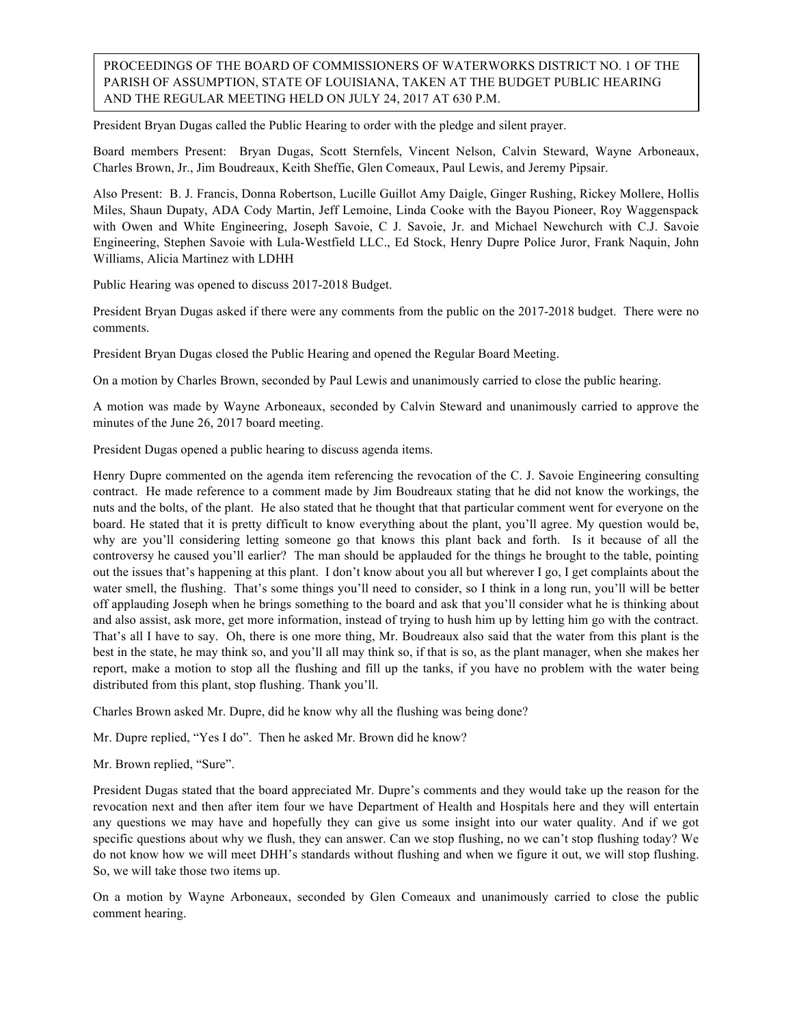PROCEEDINGS OF THE BOARD OF COMMISSIONERS OF WATERWORKS DISTRICT NO. 1 OF THE PARISH OF ASSUMPTION, STATE OF LOUISIANA, TAKEN AT THE BUDGET PUBLIC HEARING AND THE REGULAR MEETING HELD ON JULY 24, 2017 AT 630 P.M.

President Bryan Dugas called the Public Hearing to order with the pledge and silent prayer.

Board members Present: Bryan Dugas, Scott Sternfels, Vincent Nelson, Calvin Steward, Wayne Arboneaux, Charles Brown, Jr., Jim Boudreaux, Keith Sheffie, Glen Comeaux, Paul Lewis, and Jeremy Pipsair.

Also Present: B. J. Francis, Donna Robertson, Lucille Guillot Amy Daigle, Ginger Rushing, Rickey Mollere, Hollis Miles, Shaun Dupaty, ADA Cody Martin, Jeff Lemoine, Linda Cooke with the Bayou Pioneer, Roy Waggenspack with Owen and White Engineering, Joseph Savoie, C J. Savoie, Jr. and Michael Newchurch with C.J. Savoie Engineering, Stephen Savoie with Lula-Westfield LLC., Ed Stock, Henry Dupre Police Juror, Frank Naquin, John Williams, Alicia Martinez with LDHH

Public Hearing was opened to discuss 2017-2018 Budget.

President Bryan Dugas asked if there were any comments from the public on the 2017-2018 budget. There were no comments.

President Bryan Dugas closed the Public Hearing and opened the Regular Board Meeting.

On a motion by Charles Brown, seconded by Paul Lewis and unanimously carried to close the public hearing.

A motion was made by Wayne Arboneaux, seconded by Calvin Steward and unanimously carried to approve the minutes of the June 26, 2017 board meeting.

President Dugas opened a public hearing to discuss agenda items.

Henry Dupre commented on the agenda item referencing the revocation of the C. J. Savoie Engineering consulting contract. He made reference to a comment made by Jim Boudreaux stating that he did not know the workings, the nuts and the bolts, of the plant. He also stated that he thought that that particular comment went for everyone on the board. He stated that it is pretty difficult to know everything about the plant, you'll agree. My question would be, why are you'll considering letting someone go that knows this plant back and forth. Is it because of all the controversy he caused you'll earlier? The man should be applauded for the things he brought to the table, pointing out the issues that's happening at this plant. I don't know about you all but wherever I go, I get complaints about the water smell, the flushing. That's some things you'll need to consider, so I think in a long run, you'll will be better off applauding Joseph when he brings something to the board and ask that you'll consider what he is thinking about and also assist, ask more, get more information, instead of trying to hush him up by letting him go with the contract. That's all I have to say. Oh, there is one more thing, Mr. Boudreaux also said that the water from this plant is the best in the state, he may think so, and you'll all may think so, if that is so, as the plant manager, when she makes her report, make a motion to stop all the flushing and fill up the tanks, if you have no problem with the water being distributed from this plant, stop flushing. Thank you'll.

Charles Brown asked Mr. Dupre, did he know why all the flushing was being done?

Mr. Dupre replied, "Yes I do". Then he asked Mr. Brown did he know?

Mr. Brown replied, "Sure".

President Dugas stated that the board appreciated Mr. Dupre's comments and they would take up the reason for the revocation next and then after item four we have Department of Health and Hospitals here and they will entertain any questions we may have and hopefully they can give us some insight into our water quality. And if we got specific questions about why we flush, they can answer. Can we stop flushing, no we can't stop flushing today? We do not know how we will meet DHH's standards without flushing and when we figure it out, we will stop flushing. So, we will take those two items up.

On a motion by Wayne Arboneaux, seconded by Glen Comeaux and unanimously carried to close the public comment hearing.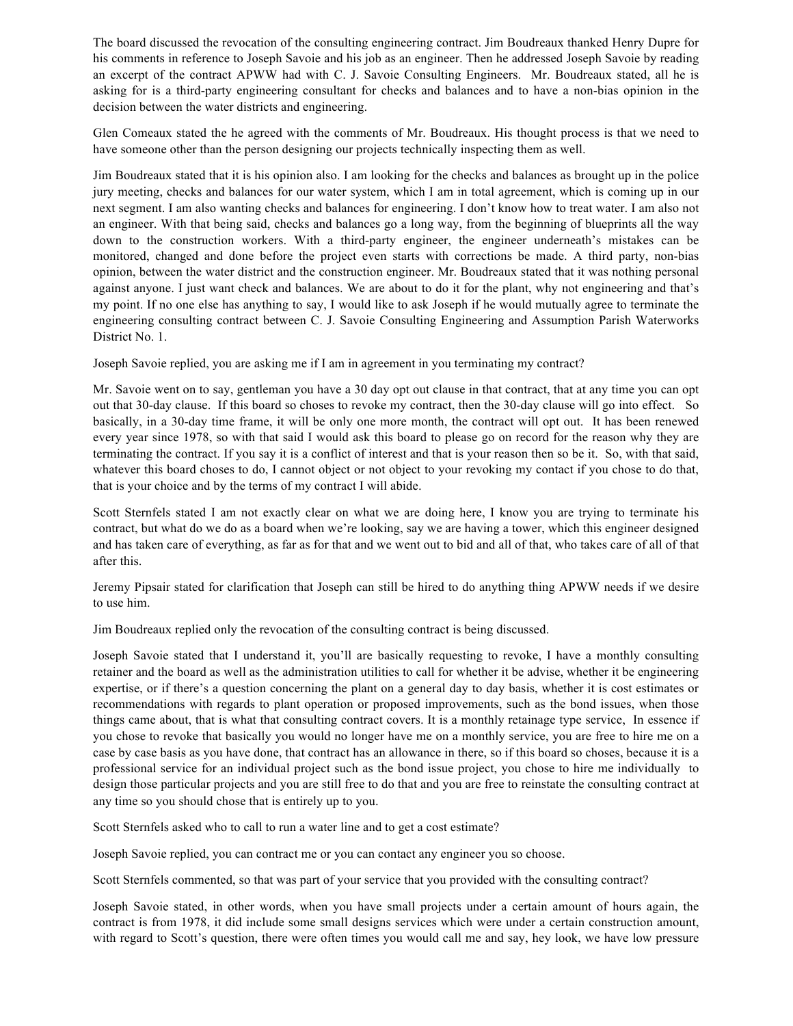The board discussed the revocation of the consulting engineering contract. Jim Boudreaux thanked Henry Dupre for his comments in reference to Joseph Savoie and his job as an engineer. Then he addressed Joseph Savoie by reading an excerpt of the contract APWW had with C. J. Savoie Consulting Engineers. Mr. Boudreaux stated, all he is asking for is a third-party engineering consultant for checks and balances and to have a non-bias opinion in the decision between the water districts and engineering.

Glen Comeaux stated the he agreed with the comments of Mr. Boudreaux. His thought process is that we need to have someone other than the person designing our projects technically inspecting them as well.

Jim Boudreaux stated that it is his opinion also. I am looking for the checks and balances as brought up in the police jury meeting, checks and balances for our water system, which I am in total agreement, which is coming up in our next segment. I am also wanting checks and balances for engineering. I don't know how to treat water. I am also not an engineer. With that being said, checks and balances go a long way, from the beginning of blueprints all the way down to the construction workers. With a third-party engineer, the engineer underneath's mistakes can be monitored, changed and done before the project even starts with corrections be made. A third party, non-bias opinion, between the water district and the construction engineer. Mr. Boudreaux stated that it was nothing personal against anyone. I just want check and balances. We are about to do it for the plant, why not engineering and that's my point. If no one else has anything to say, I would like to ask Joseph if he would mutually agree to terminate the engineering consulting contract between C. J. Savoie Consulting Engineering and Assumption Parish Waterworks District No. 1.

Joseph Savoie replied, you are asking me if I am in agreement in you terminating my contract?

Mr. Savoie went on to say, gentleman you have a 30 day opt out clause in that contract, that at any time you can opt out that 30-day clause. If this board so choses to revoke my contract, then the 30-day clause will go into effect. So basically, in a 30-day time frame, it will be only one more month, the contract will opt out. It has been renewed every year since 1978, so with that said I would ask this board to please go on record for the reason why they are terminating the contract. If you say it is a conflict of interest and that is your reason then so be it. So, with that said, whatever this board choses to do, I cannot object or not object to your revoking my contact if you chose to do that, that is your choice and by the terms of my contract I will abide.

Scott Sternfels stated I am not exactly clear on what we are doing here, I know you are trying to terminate his contract, but what do we do as a board when we're looking, say we are having a tower, which this engineer designed and has taken care of everything, as far as for that and we went out to bid and all of that, who takes care of all of that after this.

Jeremy Pipsair stated for clarification that Joseph can still be hired to do anything thing APWW needs if we desire to use him.

Jim Boudreaux replied only the revocation of the consulting contract is being discussed.

Joseph Savoie stated that I understand it, you'll are basically requesting to revoke, I have a monthly consulting retainer and the board as well as the administration utilities to call for whether it be advise, whether it be engineering expertise, or if there's a question concerning the plant on a general day to day basis, whether it is cost estimates or recommendations with regards to plant operation or proposed improvements, such as the bond issues, when those things came about, that is what that consulting contract covers. It is a monthly retainage type service, In essence if you chose to revoke that basically you would no longer have me on a monthly service, you are free to hire me on a case by case basis as you have done, that contract has an allowance in there, so if this board so choses, because it is a professional service for an individual project such as the bond issue project, you chose to hire me individually to design those particular projects and you are still free to do that and you are free to reinstate the consulting contract at any time so you should chose that is entirely up to you.

Scott Sternfels asked who to call to run a water line and to get a cost estimate?

Joseph Savoie replied, you can contract me or you can contact any engineer you so choose.

Scott Sternfels commented, so that was part of your service that you provided with the consulting contract?

Joseph Savoie stated, in other words, when you have small projects under a certain amount of hours again, the contract is from 1978, it did include some small designs services which were under a certain construction amount, with regard to Scott's question, there were often times you would call me and say, hey look, we have low pressure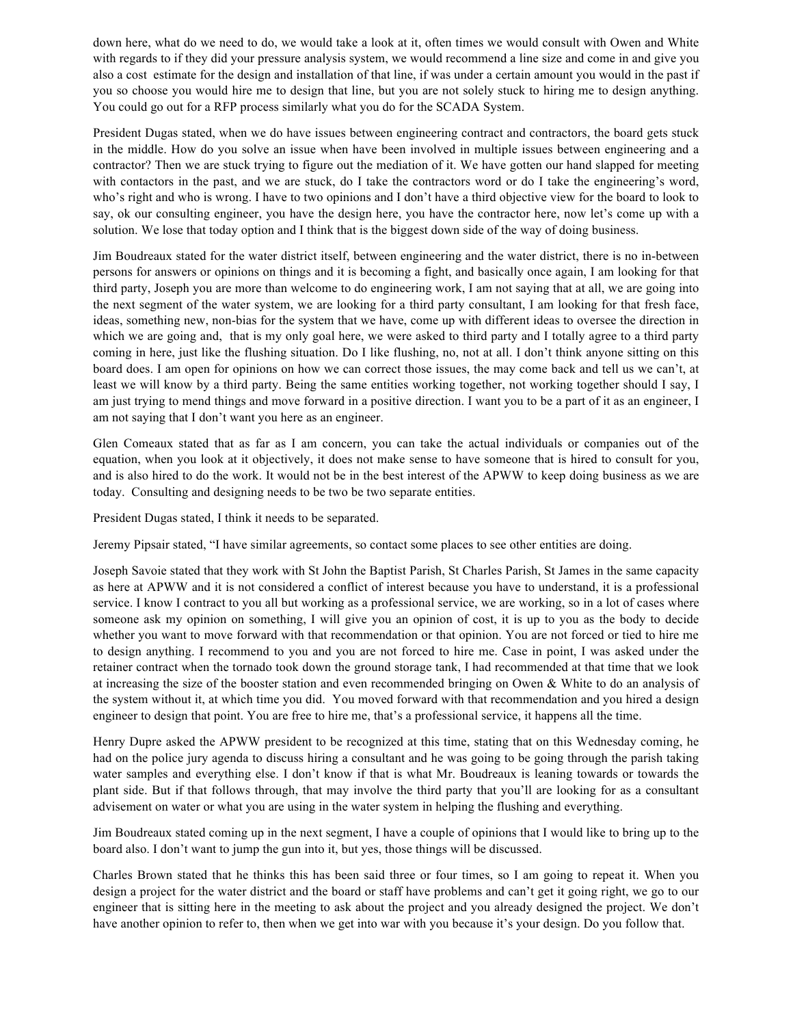down here, what do we need to do, we would take a look at it, often times we would consult with Owen and White with regards to if they did your pressure analysis system, we would recommend a line size and come in and give you also a cost estimate for the design and installation of that line, if was under a certain amount you would in the past if you so choose you would hire me to design that line, but you are not solely stuck to hiring me to design anything. You could go out for a RFP process similarly what you do for the SCADA System.

President Dugas stated, when we do have issues between engineering contract and contractors, the board gets stuck in the middle. How do you solve an issue when have been involved in multiple issues between engineering and a contractor? Then we are stuck trying to figure out the mediation of it. We have gotten our hand slapped for meeting with contactors in the past, and we are stuck, do I take the contractors word or do I take the engineering's word, who's right and who is wrong. I have to two opinions and I don't have a third objective view for the board to look to say, ok our consulting engineer, you have the design here, you have the contractor here, now let's come up with a solution. We lose that today option and I think that is the biggest down side of the way of doing business.

Jim Boudreaux stated for the water district itself, between engineering and the water district, there is no in-between persons for answers or opinions on things and it is becoming a fight, and basically once again, I am looking for that third party, Joseph you are more than welcome to do engineering work, I am not saying that at all, we are going into the next segment of the water system, we are looking for a third party consultant, I am looking for that fresh face, ideas, something new, non-bias for the system that we have, come up with different ideas to oversee the direction in which we are going and, that is my only goal here, we were asked to third party and I totally agree to a third party coming in here, just like the flushing situation. Do I like flushing, no, not at all. I don't think anyone sitting on this board does. I am open for opinions on how we can correct those issues, the may come back and tell us we can't, at least we will know by a third party. Being the same entities working together, not working together should I say, I am just trying to mend things and move forward in a positive direction. I want you to be a part of it as an engineer, I am not saying that I don't want you here as an engineer.

Glen Comeaux stated that as far as I am concern, you can take the actual individuals or companies out of the equation, when you look at it objectively, it does not make sense to have someone that is hired to consult for you, and is also hired to do the work. It would not be in the best interest of the APWW to keep doing business as we are today. Consulting and designing needs to be two be two separate entities.

President Dugas stated, I think it needs to be separated.

Jeremy Pipsair stated, "I have similar agreements, so contact some places to see other entities are doing.

Joseph Savoie stated that they work with St John the Baptist Parish, St Charles Parish, St James in the same capacity as here at APWW and it is not considered a conflict of interest because you have to understand, it is a professional service. I know I contract to you all but working as a professional service, we are working, so in a lot of cases where someone ask my opinion on something, I will give you an opinion of cost, it is up to you as the body to decide whether you want to move forward with that recommendation or that opinion. You are not forced or tied to hire me to design anything. I recommend to you and you are not forced to hire me. Case in point, I was asked under the retainer contract when the tornado took down the ground storage tank, I had recommended at that time that we look at increasing the size of the booster station and even recommended bringing on Owen & White to do an analysis of the system without it, at which time you did. You moved forward with that recommendation and you hired a design engineer to design that point. You are free to hire me, that's a professional service, it happens all the time.

Henry Dupre asked the APWW president to be recognized at this time, stating that on this Wednesday coming, he had on the police jury agenda to discuss hiring a consultant and he was going to be going through the parish taking water samples and everything else. I don't know if that is what Mr. Boudreaux is leaning towards or towards the plant side. But if that follows through, that may involve the third party that you'll are looking for as a consultant advisement on water or what you are using in the water system in helping the flushing and everything.

Jim Boudreaux stated coming up in the next segment, I have a couple of opinions that I would like to bring up to the board also. I don't want to jump the gun into it, but yes, those things will be discussed.

Charles Brown stated that he thinks this has been said three or four times, so I am going to repeat it. When you design a project for the water district and the board or staff have problems and can't get it going right, we go to our engineer that is sitting here in the meeting to ask about the project and you already designed the project. We don't have another opinion to refer to, then when we get into war with you because it's your design. Do you follow that.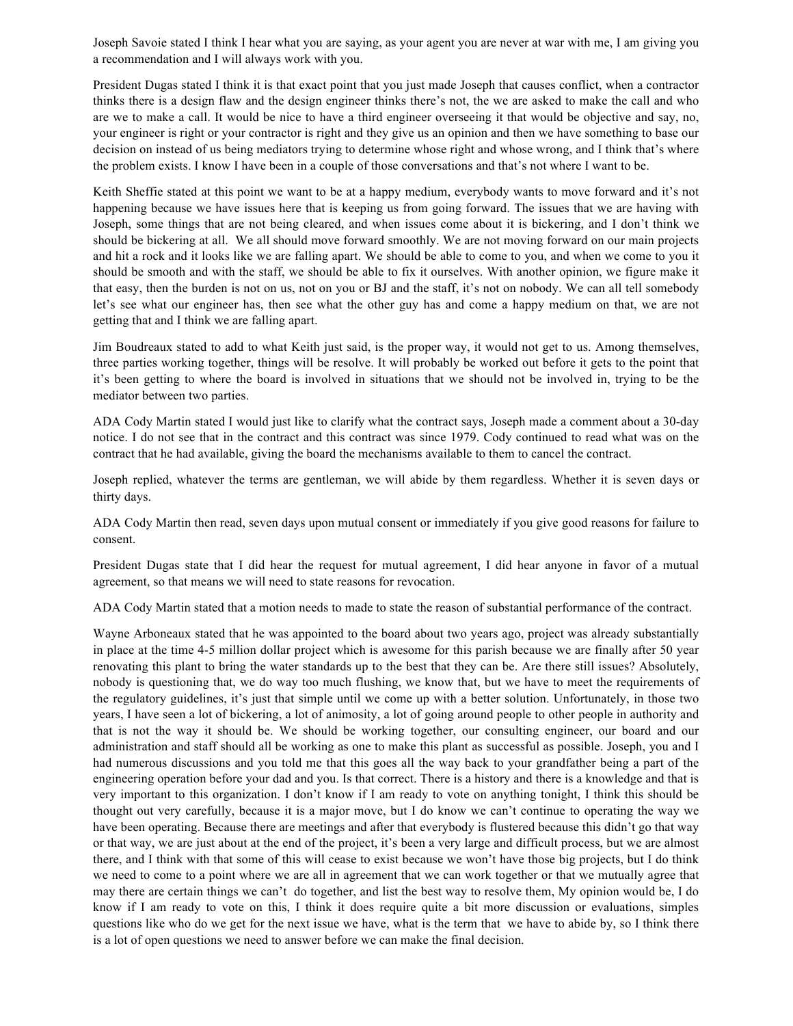Joseph Savoie stated I think I hear what you are saying, as your agent you are never at war with me, I am giving you a recommendation and I will always work with you.

President Dugas stated I think it is that exact point that you just made Joseph that causes conflict, when a contractor thinks there is a design flaw and the design engineer thinks there's not, the we are asked to make the call and who are we to make a call. It would be nice to have a third engineer overseeing it that would be objective and say, no, your engineer is right or your contractor is right and they give us an opinion and then we have something to base our decision on instead of us being mediators trying to determine whose right and whose wrong, and I think that's where the problem exists. I know I have been in a couple of those conversations and that's not where I want to be.

Keith Sheffie stated at this point we want to be at a happy medium, everybody wants to move forward and it's not happening because we have issues here that is keeping us from going forward. The issues that we are having with Joseph, some things that are not being cleared, and when issues come about it is bickering, and I don't think we should be bickering at all. We all should move forward smoothly. We are not moving forward on our main projects and hit a rock and it looks like we are falling apart. We should be able to come to you, and when we come to you it should be smooth and with the staff, we should be able to fix it ourselves. With another opinion, we figure make it that easy, then the burden is not on us, not on you or BJ and the staff, it's not on nobody. We can all tell somebody let's see what our engineer has, then see what the other guy has and come a happy medium on that, we are not getting that and I think we are falling apart.

Jim Boudreaux stated to add to what Keith just said, is the proper way, it would not get to us. Among themselves, three parties working together, things will be resolve. It will probably be worked out before it gets to the point that it's been getting to where the board is involved in situations that we should not be involved in, trying to be the mediator between two parties.

ADA Cody Martin stated I would just like to clarify what the contract says, Joseph made a comment about a 30-day notice. I do not see that in the contract and this contract was since 1979. Cody continued to read what was on the contract that he had available, giving the board the mechanisms available to them to cancel the contract.

Joseph replied, whatever the terms are gentleman, we will abide by them regardless. Whether it is seven days or thirty days.

ADA Cody Martin then read, seven days upon mutual consent or immediately if you give good reasons for failure to consent.

President Dugas state that I did hear the request for mutual agreement, I did hear anyone in favor of a mutual agreement, so that means we will need to state reasons for revocation.

ADA Cody Martin stated that a motion needs to made to state the reason of substantial performance of the contract.

Wayne Arboneaux stated that he was appointed to the board about two years ago, project was already substantially in place at the time 4-5 million dollar project which is awesome for this parish because we are finally after 50 year renovating this plant to bring the water standards up to the best that they can be. Are there still issues? Absolutely, nobody is questioning that, we do way too much flushing, we know that, but we have to meet the requirements of the regulatory guidelines, it's just that simple until we come up with a better solution. Unfortunately, in those two years, I have seen a lot of bickering, a lot of animosity, a lot of going around people to other people in authority and that is not the way it should be. We should be working together, our consulting engineer, our board and our administration and staff should all be working as one to make this plant as successful as possible. Joseph, you and I had numerous discussions and you told me that this goes all the way back to your grandfather being a part of the engineering operation before your dad and you. Is that correct. There is a history and there is a knowledge and that is very important to this organization. I don't know if I am ready to vote on anything tonight, I think this should be thought out very carefully, because it is a major move, but I do know we can't continue to operating the way we have been operating. Because there are meetings and after that everybody is flustered because this didn't go that way or that way, we are just about at the end of the project, it's been a very large and difficult process, but we are almost there, and I think with that some of this will cease to exist because we won't have those big projects, but I do think we need to come to a point where we are all in agreement that we can work together or that we mutually agree that may there are certain things we can't do together, and list the best way to resolve them, My opinion would be, I do know if I am ready to vote on this, I think it does require quite a bit more discussion or evaluations, simples questions like who do we get for the next issue we have, what is the term that we have to abide by, so I think there is a lot of open questions we need to answer before we can make the final decision.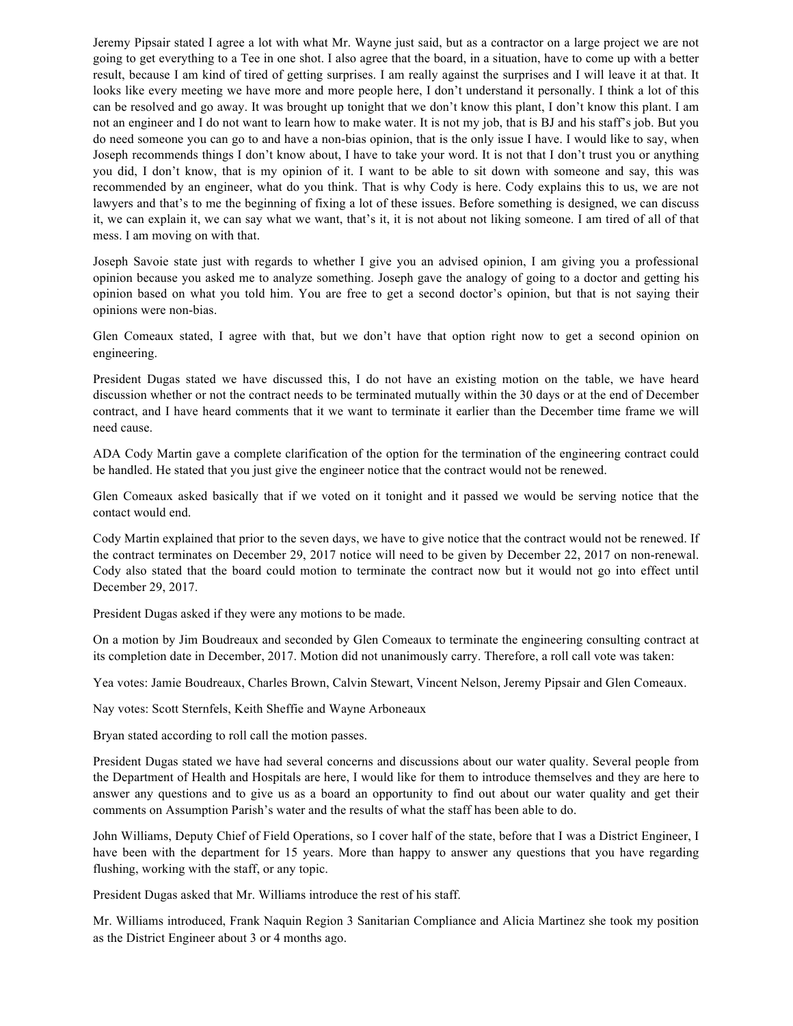Jeremy Pipsair stated I agree a lot with what Mr. Wayne just said, but as a contractor on a large project we are not going to get everything to a Tee in one shot. I also agree that the board, in a situation, have to come up with a better result, because I am kind of tired of getting surprises. I am really against the surprises and I will leave it at that. It looks like every meeting we have more and more people here, I don't understand it personally. I think a lot of this can be resolved and go away. It was brought up tonight that we don't know this plant, I don't know this plant. I am not an engineer and I do not want to learn how to make water. It is not my job, that is BJ and his staff's job. But you do need someone you can go to and have a non-bias opinion, that is the only issue I have. I would like to say, when Joseph recommends things I don't know about, I have to take your word. It is not that I don't trust you or anything you did, I don't know, that is my opinion of it. I want to be able to sit down with someone and say, this was recommended by an engineer, what do you think. That is why Cody is here. Cody explains this to us, we are not lawyers and that's to me the beginning of fixing a lot of these issues. Before something is designed, we can discuss it, we can explain it, we can say what we want, that's it, it is not about not liking someone. I am tired of all of that mess. I am moving on with that.

Joseph Savoie state just with regards to whether I give you an advised opinion, I am giving you a professional opinion because you asked me to analyze something. Joseph gave the analogy of going to a doctor and getting his opinion based on what you told him. You are free to get a second doctor's opinion, but that is not saying their opinions were non-bias.

Glen Comeaux stated, I agree with that, but we don't have that option right now to get a second opinion on engineering.

President Dugas stated we have discussed this, I do not have an existing motion on the table, we have heard discussion whether or not the contract needs to be terminated mutually within the 30 days or at the end of December contract, and I have heard comments that it we want to terminate it earlier than the December time frame we will need cause.

ADA Cody Martin gave a complete clarification of the option for the termination of the engineering contract could be handled. He stated that you just give the engineer notice that the contract would not be renewed.

Glen Comeaux asked basically that if we voted on it tonight and it passed we would be serving notice that the contact would end.

Cody Martin explained that prior to the seven days, we have to give notice that the contract would not be renewed. If the contract terminates on December 29, 2017 notice will need to be given by December 22, 2017 on non-renewal. Cody also stated that the board could motion to terminate the contract now but it would not go into effect until December 29, 2017.

President Dugas asked if they were any motions to be made.

On a motion by Jim Boudreaux and seconded by Glen Comeaux to terminate the engineering consulting contract at its completion date in December, 2017. Motion did not unanimously carry. Therefore, a roll call vote was taken:

Yea votes: Jamie Boudreaux, Charles Brown, Calvin Stewart, Vincent Nelson, Jeremy Pipsair and Glen Comeaux.

Nay votes: Scott Sternfels, Keith Sheffie and Wayne Arboneaux

Bryan stated according to roll call the motion passes.

President Dugas stated we have had several concerns and discussions about our water quality. Several people from the Department of Health and Hospitals are here, I would like for them to introduce themselves and they are here to answer any questions and to give us as a board an opportunity to find out about our water quality and get their comments on Assumption Parish's water and the results of what the staff has been able to do.

John Williams, Deputy Chief of Field Operations, so I cover half of the state, before that I was a District Engineer, I have been with the department for 15 years. More than happy to answer any questions that you have regarding flushing, working with the staff, or any topic.

President Dugas asked that Mr. Williams introduce the rest of his staff.

Mr. Williams introduced, Frank Naquin Region 3 Sanitarian Compliance and Alicia Martinez she took my position as the District Engineer about 3 or 4 months ago.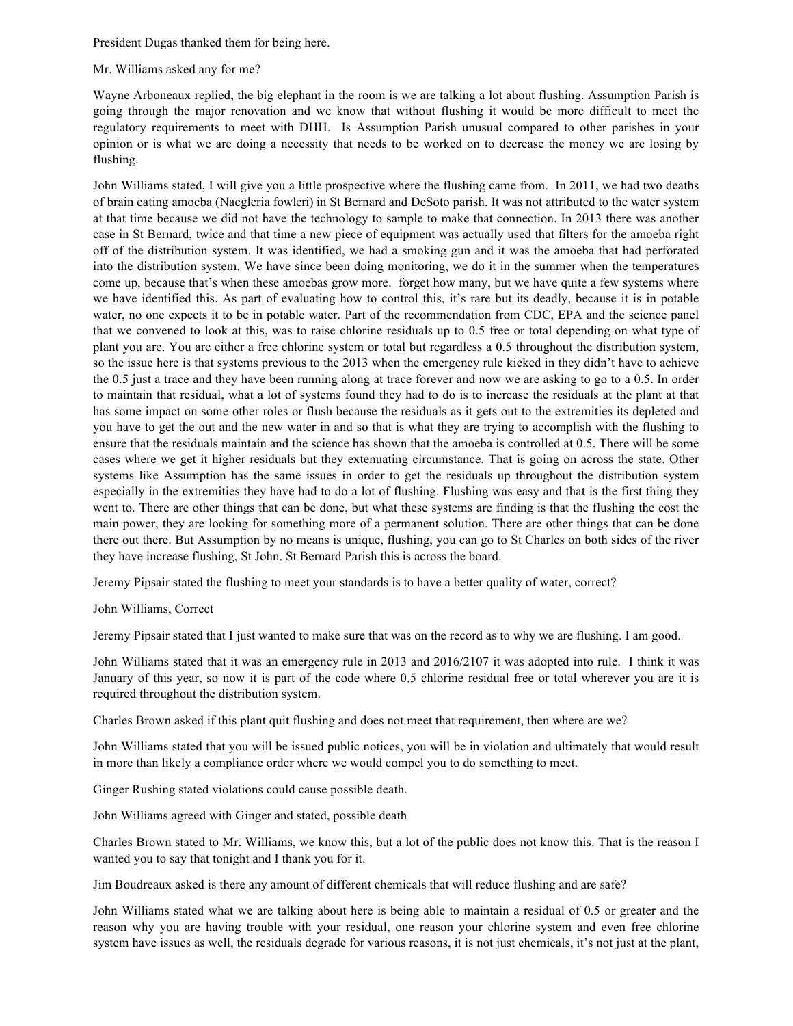President Dugas thanked them for being here.

## Mr. Williams asked any for me?

Wayne Arboneaux replied, the big elephant in the room is we are talking a lot about flushing. Assumption Parish is going through the major renovation and we know that without flushing it would be more difficult to meet the regulatory requirements to meet with DHH. Is Assumption Parish unusual compared to other parishes in your opinion or is what we are doing a necessity that needs to be worked on to decrease the money we are losing by flushing.

John Williams stated, I will give you a little prospective where the flushing came from. In 2011, we had two deaths of brain eating amoeba (Naegleria fowleri) in St Bernard and DeSoto parish. It was not attributed to the water system at that time because we did not have the technology to sample to make that connection. In 2013 there was another case in St Bernard, twice and that time a new piece of equipment was actually used that filters for the amoeba right off of the distribution system. It was identified, we had a smoking gun and it was the amoeba that had perforated into the distribution system. We have since been doing monitoring, we do it in the summer when the temperatures come up, because that's when these amoebas grow more. forget how many, but we have quite a few systems where we have identified this. As part of evaluating how to control this, it's rare but its deadly, because it is in potable water, no one expects it to be in potable water. Part of the recommendation from CDC, EPA and the science panel that we convened to look at this, was to raise chlorine residuals up to 0.5 free or total depending on what type of plant you are. You are either a free chlorine system or total but regardless a 0.5 throughout the distribution system, so the issue here is that systems previous to the 2013 when the emergency rule kicked in they didn't have to achieve the 0.5 just a trace and they have been running along at trace forever and now we are asking to go to a 0.5. In order to maintain that residual, what a lot of systems found they had to do is to increase the residuals at the plant at that has some impact on some other roles or flush because the residuals as it gets out to the extremities its depleted and you have to get the out and the new water in and so that is what they are trying to accomplish with the flushing to ensure that the residuals maintain and the science has shown that the amoeba is controlled at 0.5. There will be some cases where we get it higher residuals but they extenuating circumstance. That is going on across the state. Other systems like Assumption has the same issues in order to get the residuals up throughout the distribution system especially in the extremities they have had to do a lot of flushing. Flushing was easy and that is the first thing they went to. There are other things that can be done, but what these systems are finding is that the flushing the cost the main power, they are looking for something more of a permanent solution. There are other things that can be done there out there. But Assumption by no means is unique, flushing, you can go to St Charles on both sides of the river they have increase flushing, St John. St Bernard Parish this is across the board.

Jeremy Pipsair stated the flushing to meet your standards is to have a better quality of water, correct?

## John Williams, Correct

Jeremy Pipsair stated that I just wanted to make sure that was on the record as to why we are flushing. I am good.

John Williams stated that it was an emergency rule in 2013 and 2016/2107 it was adopted into rule. I think it was January of this year, so now it is part of the code where 0.5 chlorine residual free or total wherever you are it is required throughout the distribution system.

Charles Brown asked if this plant quit flushing and does not meet that requirement, then where are we?

John Williams stated that you will be issued public notices, you will be in violation and ultimately that would result in more than likely a compliance order where we would compel you to do something to meet.

Ginger Rushing stated violations could cause possible death.

John Williams agreed with Ginger and stated, possible death

Charles Brown stated to Mr. Williams, we know this, but a lot of the public does not know this. That is the reason I wanted you to say that tonight and I thank you for it.

Jim Boudreaux asked is there any amount of different chemicals that will reduce flushing and are safe?

John Williams stated what we are talking about here is being able to maintain a residual of 0.5 or greater and the reason why you are having trouble with your residual, one reason your chlorine system and even free chlorine system have issues as well, the residuals degrade for various reasons, it is not just chemicals, it's not just at the plant,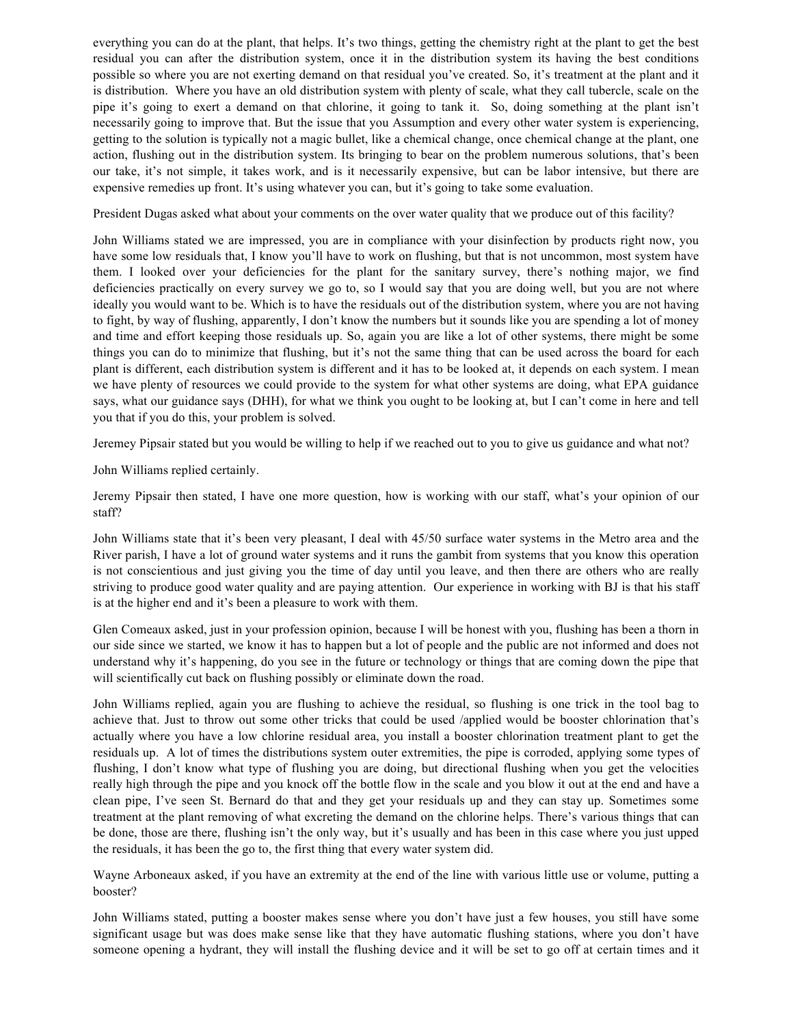everything you can do at the plant, that helps. It's two things, getting the chemistry right at the plant to get the best residual you can after the distribution system, once it in the distribution system its having the best conditions possible so where you are not exerting demand on that residual you've created. So, it's treatment at the plant and it is distribution. Where you have an old distribution system with plenty of scale, what they call tubercle, scale on the pipe it's going to exert a demand on that chlorine, it going to tank it. So, doing something at the plant isn't necessarily going to improve that. But the issue that you Assumption and every other water system is experiencing, getting to the solution is typically not a magic bullet, like a chemical change, once chemical change at the plant, one action, flushing out in the distribution system. Its bringing to bear on the problem numerous solutions, that's been our take, it's not simple, it takes work, and is it necessarily expensive, but can be labor intensive, but there are expensive remedies up front. It's using whatever you can, but it's going to take some evaluation.

President Dugas asked what about your comments on the over water quality that we produce out of this facility?

John Williams stated we are impressed, you are in compliance with your disinfection by products right now, you have some low residuals that, I know you'll have to work on flushing, but that is not uncommon, most system have them. I looked over your deficiencies for the plant for the sanitary survey, there's nothing major, we find deficiencies practically on every survey we go to, so I would say that you are doing well, but you are not where ideally you would want to be. Which is to have the residuals out of the distribution system, where you are not having to fight, by way of flushing, apparently, I don't know the numbers but it sounds like you are spending a lot of money and time and effort keeping those residuals up. So, again you are like a lot of other systems, there might be some things you can do to minimize that flushing, but it's not the same thing that can be used across the board for each plant is different, each distribution system is different and it has to be looked at, it depends on each system. I mean we have plenty of resources we could provide to the system for what other systems are doing, what EPA guidance says, what our guidance says (DHH), for what we think you ought to be looking at, but I can't come in here and tell you that if you do this, your problem is solved.

Jeremey Pipsair stated but you would be willing to help if we reached out to you to give us guidance and what not?

John Williams replied certainly.

Jeremy Pipsair then stated, I have one more question, how is working with our staff, what's your opinion of our staff?

John Williams state that it's been very pleasant, I deal with 45/50 surface water systems in the Metro area and the River parish, I have a lot of ground water systems and it runs the gambit from systems that you know this operation is not conscientious and just giving you the time of day until you leave, and then there are others who are really striving to produce good water quality and are paying attention. Our experience in working with BJ is that his staff is at the higher end and it's been a pleasure to work with them.

Glen Comeaux asked, just in your profession opinion, because I will be honest with you, flushing has been a thorn in our side since we started, we know it has to happen but a lot of people and the public are not informed and does not understand why it's happening, do you see in the future or technology or things that are coming down the pipe that will scientifically cut back on flushing possibly or eliminate down the road.

John Williams replied, again you are flushing to achieve the residual, so flushing is one trick in the tool bag to achieve that. Just to throw out some other tricks that could be used /applied would be booster chlorination that's actually where you have a low chlorine residual area, you install a booster chlorination treatment plant to get the residuals up. A lot of times the distributions system outer extremities, the pipe is corroded, applying some types of flushing, I don't know what type of flushing you are doing, but directional flushing when you get the velocities really high through the pipe and you knock off the bottle flow in the scale and you blow it out at the end and have a clean pipe, I've seen St. Bernard do that and they get your residuals up and they can stay up. Sometimes some treatment at the plant removing of what excreting the demand on the chlorine helps. There's various things that can be done, those are there, flushing isn't the only way, but it's usually and has been in this case where you just upped the residuals, it has been the go to, the first thing that every water system did.

Wayne Arboneaux asked, if you have an extremity at the end of the line with various little use or volume, putting a booster?

John Williams stated, putting a booster makes sense where you don't have just a few houses, you still have some significant usage but was does make sense like that they have automatic flushing stations, where you don't have someone opening a hydrant, they will install the flushing device and it will be set to go off at certain times and it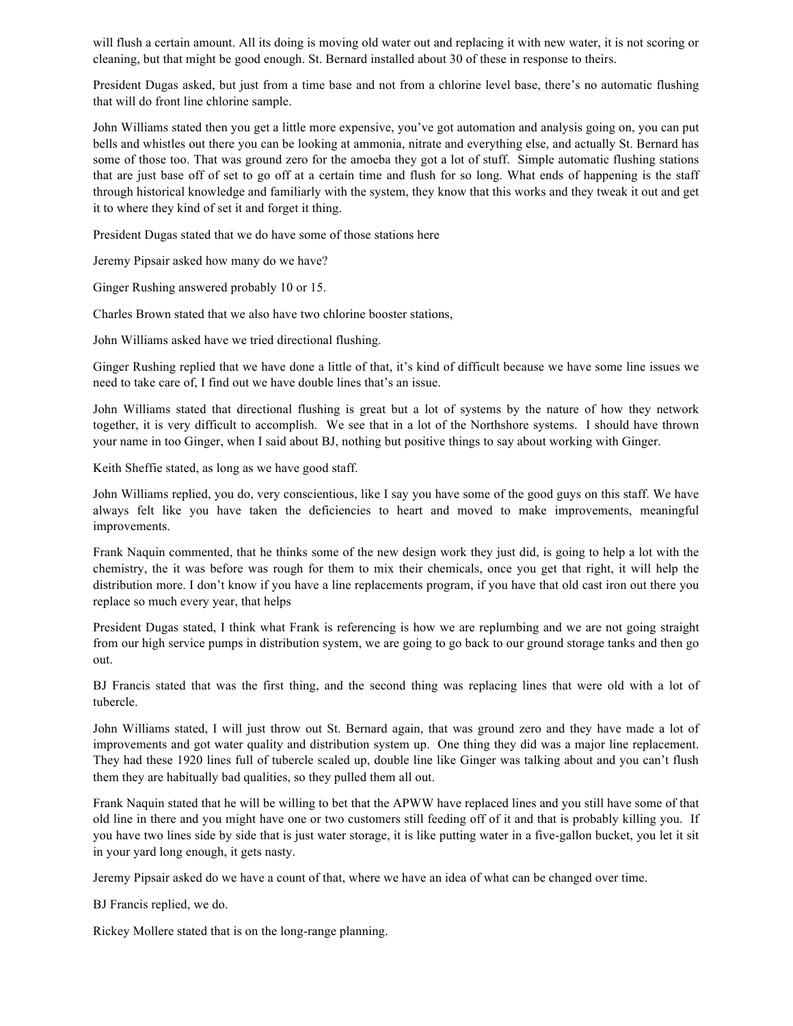will flush a certain amount. All its doing is moving old water out and replacing it with new water, it is not scoring or cleaning, but that might be good enough. St. Bernard installed about 30 of these in response to theirs.

President Dugas asked, but just from a time base and not from a chlorine level base, there's no automatic flushing that will do front line chlorine sample.

John Williams stated then you get a little more expensive, you've got automation and analysis going on, you can put bells and whistles out there you can be looking at ammonia, nitrate and everything else, and actually St. Bernard has some of those too. That was ground zero for the amoeba they got a lot of stuff. Simple automatic flushing stations that are just base off of set to go off at a certain time and flush for so long. What ends of happening is the staff through historical knowledge and familiarly with the system, they know that this works and they tweak it out and get it to where they kind of set it and forget it thing.

President Dugas stated that we do have some of those stations here

Jeremy Pipsair asked how many do we have?

Ginger Rushing answered probably 10 or 15.

Charles Brown stated that we also have two chlorine booster stations,

John Williams asked have we tried directional flushing.

Ginger Rushing replied that we have done a little of that, it's kind of difficult because we have some line issues we need to take care of, I find out we have double lines that's an issue.

John Williams stated that directional flushing is great but a lot of systems by the nature of how they network together, it is very difficult to accomplish. We see that in a lot of the Northshore systems. I should have thrown your name in too Ginger, when I said about BJ, nothing but positive things to say about working with Ginger.

Keith Sheffie stated, as long as we have good staff.

John Williams replied, you do, very conscientious, like I say you have some of the good guys on this staff. We have always felt like you have taken the deficiencies to heart and moved to make improvements, meaningful improvements.

Frank Naquin commented, that he thinks some of the new design work they just did, is going to help a lot with the chemistry, the it was before was rough for them to mix their chemicals, once you get that right, it will help the distribution more. I don't know if you have a line replacements program, if you have that old cast iron out there you replace so much every year, that helps

President Dugas stated, I think what Frank is referencing is how we are replumbing and we are not going straight from our high service pumps in distribution system, we are going to go back to our ground storage tanks and then go out.

BJ Francis stated that was the first thing, and the second thing was replacing lines that were old with a lot of tubercle.

John Williams stated, I will just throw out St. Bernard again, that was ground zero and they have made a lot of improvements and got water quality and distribution system up. One thing they did was a major line replacement. They had these 1920 lines full of tubercle scaled up, double line like Ginger was talking about and you can't flush them they are habitually bad qualities, so they pulled them all out.

Frank Naquin stated that he will be willing to bet that the APWW have replaced lines and you still have some of that old line in there and you might have one or two customers still feeding off of it and that is probably killing you. If you have two lines side by side that is just water storage, it is like putting water in a five-gallon bucket, you let it sit in your yard long enough, it gets nasty.

Jeremy Pipsair asked do we have a count of that, where we have an idea of what can be changed over time.

BJ Francis replied, we do.

Rickey Mollere stated that is on the long-range planning.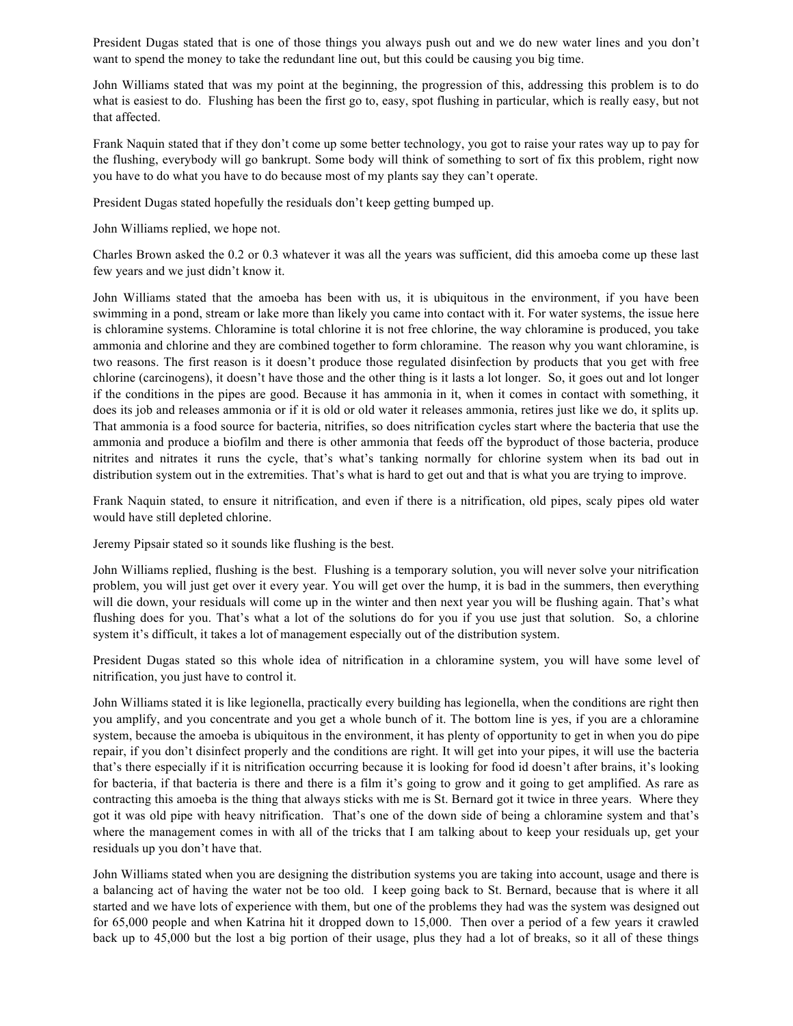President Dugas stated that is one of those things you always push out and we do new water lines and you don't want to spend the money to take the redundant line out, but this could be causing you big time.

John Williams stated that was my point at the beginning, the progression of this, addressing this problem is to do what is easiest to do. Flushing has been the first go to, easy, spot flushing in particular, which is really easy, but not that affected.

Frank Naquin stated that if they don't come up some better technology, you got to raise your rates way up to pay for the flushing, everybody will go bankrupt. Some body will think of something to sort of fix this problem, right now you have to do what you have to do because most of my plants say they can't operate.

President Dugas stated hopefully the residuals don't keep getting bumped up.

John Williams replied, we hope not.

Charles Brown asked the 0.2 or 0.3 whatever it was all the years was sufficient, did this amoeba come up these last few years and we just didn't know it.

John Williams stated that the amoeba has been with us, it is ubiquitous in the environment, if you have been swimming in a pond, stream or lake more than likely you came into contact with it. For water systems, the issue here is chloramine systems. Chloramine is total chlorine it is not free chlorine, the way chloramine is produced, you take ammonia and chlorine and they are combined together to form chloramine. The reason why you want chloramine, is two reasons. The first reason is it doesn't produce those regulated disinfection by products that you get with free chlorine (carcinogens), it doesn't have those and the other thing is it lasts a lot longer. So, it goes out and lot longer if the conditions in the pipes are good. Because it has ammonia in it, when it comes in contact with something, it does its job and releases ammonia or if it is old or old water it releases ammonia, retires just like we do, it splits up. That ammonia is a food source for bacteria, nitrifies, so does nitrification cycles start where the bacteria that use the ammonia and produce a biofilm and there is other ammonia that feeds off the byproduct of those bacteria, produce nitrites and nitrates it runs the cycle, that's what's tanking normally for chlorine system when its bad out in distribution system out in the extremities. That's what is hard to get out and that is what you are trying to improve.

Frank Naquin stated, to ensure it nitrification, and even if there is a nitrification, old pipes, scaly pipes old water would have still depleted chlorine.

Jeremy Pipsair stated so it sounds like flushing is the best.

John Williams replied, flushing is the best. Flushing is a temporary solution, you will never solve your nitrification problem, you will just get over it every year. You will get over the hump, it is bad in the summers, then everything will die down, your residuals will come up in the winter and then next year you will be flushing again. That's what flushing does for you. That's what a lot of the solutions do for you if you use just that solution. So, a chlorine system it's difficult, it takes a lot of management especially out of the distribution system.

President Dugas stated so this whole idea of nitrification in a chloramine system, you will have some level of nitrification, you just have to control it.

John Williams stated it is like legionella, practically every building has legionella, when the conditions are right then you amplify, and you concentrate and you get a whole bunch of it. The bottom line is yes, if you are a chloramine system, because the amoeba is ubiquitous in the environment, it has plenty of opportunity to get in when you do pipe repair, if you don't disinfect properly and the conditions are right. It will get into your pipes, it will use the bacteria that's there especially if it is nitrification occurring because it is looking for food id doesn't after brains, it's looking for bacteria, if that bacteria is there and there is a film it's going to grow and it going to get amplified. As rare as contracting this amoeba is the thing that always sticks with me is St. Bernard got it twice in three years. Where they got it was old pipe with heavy nitrification. That's one of the down side of being a chloramine system and that's where the management comes in with all of the tricks that I am talking about to keep your residuals up, get your residuals up you don't have that.

John Williams stated when you are designing the distribution systems you are taking into account, usage and there is a balancing act of having the water not be too old. I keep going back to St. Bernard, because that is where it all started and we have lots of experience with them, but one of the problems they had was the system was designed out for 65,000 people and when Katrina hit it dropped down to 15,000. Then over a period of a few years it crawled back up to 45,000 but the lost a big portion of their usage, plus they had a lot of breaks, so it all of these things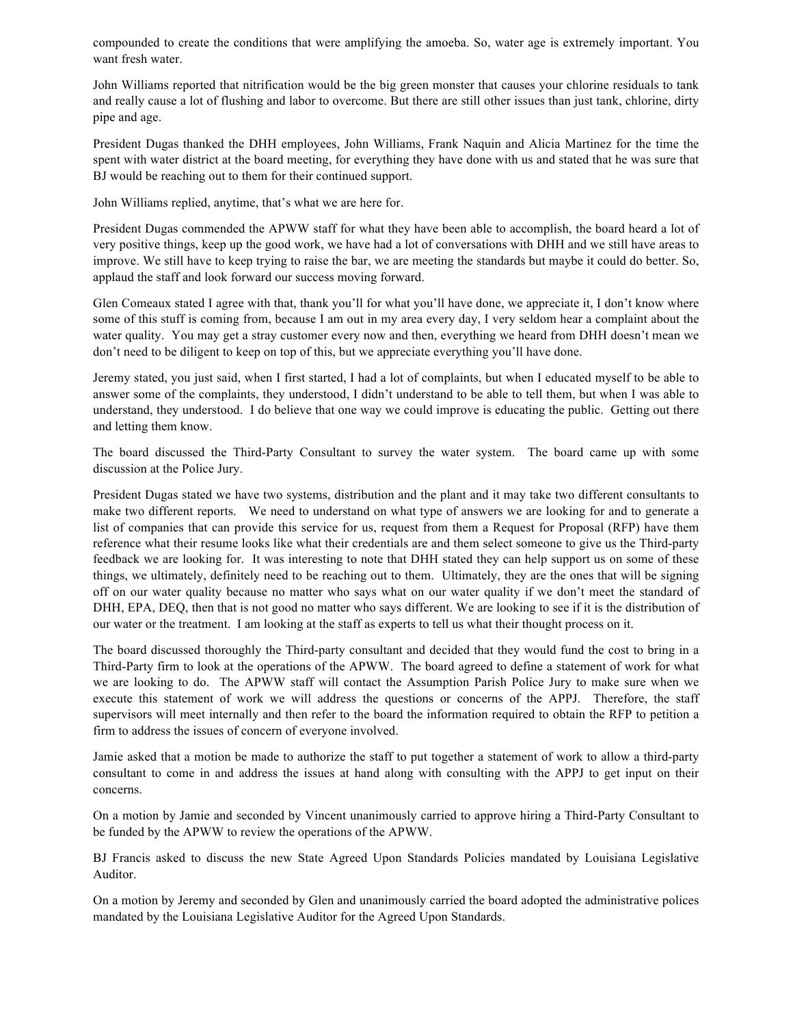compounded to create the conditions that were amplifying the amoeba. So, water age is extremely important. You want fresh water.

John Williams reported that nitrification would be the big green monster that causes your chlorine residuals to tank and really cause a lot of flushing and labor to overcome. But there are still other issues than just tank, chlorine, dirty pipe and age.

President Dugas thanked the DHH employees, John Williams, Frank Naquin and Alicia Martinez for the time the spent with water district at the board meeting, for everything they have done with us and stated that he was sure that BJ would be reaching out to them for their continued support.

John Williams replied, anytime, that's what we are here for.

President Dugas commended the APWW staff for what they have been able to accomplish, the board heard a lot of very positive things, keep up the good work, we have had a lot of conversations with DHH and we still have areas to improve. We still have to keep trying to raise the bar, we are meeting the standards but maybe it could do better. So, applaud the staff and look forward our success moving forward.

Glen Comeaux stated I agree with that, thank you'll for what you'll have done, we appreciate it, I don't know where some of this stuff is coming from, because I am out in my area every day, I very seldom hear a complaint about the water quality. You may get a stray customer every now and then, everything we heard from DHH doesn't mean we don't need to be diligent to keep on top of this, but we appreciate everything you'll have done.

Jeremy stated, you just said, when I first started, I had a lot of complaints, but when I educated myself to be able to answer some of the complaints, they understood, I didn't understand to be able to tell them, but when I was able to understand, they understood. I do believe that one way we could improve is educating the public. Getting out there and letting them know.

The board discussed the Third-Party Consultant to survey the water system. The board came up with some discussion at the Police Jury.

President Dugas stated we have two systems, distribution and the plant and it may take two different consultants to make two different reports. We need to understand on what type of answers we are looking for and to generate a list of companies that can provide this service for us, request from them a Request for Proposal (RFP) have them reference what their resume looks like what their credentials are and them select someone to give us the Third-party feedback we are looking for. It was interesting to note that DHH stated they can help support us on some of these things, we ultimately, definitely need to be reaching out to them. Ultimately, they are the ones that will be signing off on our water quality because no matter who says what on our water quality if we don't meet the standard of DHH, EPA, DEQ, then that is not good no matter who says different. We are looking to see if it is the distribution of our water or the treatment. I am looking at the staff as experts to tell us what their thought process on it.

The board discussed thoroughly the Third-party consultant and decided that they would fund the cost to bring in a Third-Party firm to look at the operations of the APWW. The board agreed to define a statement of work for what we are looking to do. The APWW staff will contact the Assumption Parish Police Jury to make sure when we execute this statement of work we will address the questions or concerns of the APPJ. Therefore, the staff supervisors will meet internally and then refer to the board the information required to obtain the RFP to petition a firm to address the issues of concern of everyone involved.

Jamie asked that a motion be made to authorize the staff to put together a statement of work to allow a third-party consultant to come in and address the issues at hand along with consulting with the APPJ to get input on their concerns.

On a motion by Jamie and seconded by Vincent unanimously carried to approve hiring a Third-Party Consultant to be funded by the APWW to review the operations of the APWW.

BJ Francis asked to discuss the new State Agreed Upon Standards Policies mandated by Louisiana Legislative Auditor.

On a motion by Jeremy and seconded by Glen and unanimously carried the board adopted the administrative polices mandated by the Louisiana Legislative Auditor for the Agreed Upon Standards.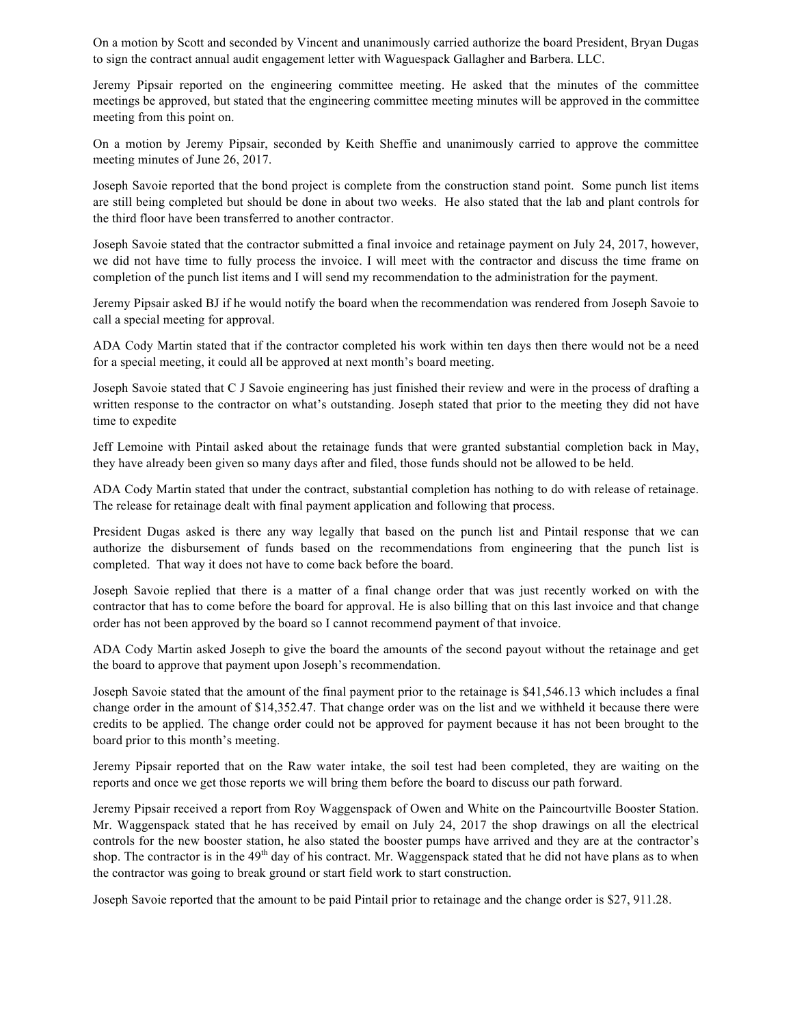On a motion by Scott and seconded by Vincent and unanimously carried authorize the board President, Bryan Dugas to sign the contract annual audit engagement letter with Waguespack Gallagher and Barbera. LLC.

Jeremy Pipsair reported on the engineering committee meeting. He asked that the minutes of the committee meetings be approved, but stated that the engineering committee meeting minutes will be approved in the committee meeting from this point on.

On a motion by Jeremy Pipsair, seconded by Keith Sheffie and unanimously carried to approve the committee meeting minutes of June 26, 2017.

Joseph Savoie reported that the bond project is complete from the construction stand point. Some punch list items are still being completed but should be done in about two weeks. He also stated that the lab and plant controls for the third floor have been transferred to another contractor.

Joseph Savoie stated that the contractor submitted a final invoice and retainage payment on July 24, 2017, however, we did not have time to fully process the invoice. I will meet with the contractor and discuss the time frame on completion of the punch list items and I will send my recommendation to the administration for the payment.

Jeremy Pipsair asked BJ if he would notify the board when the recommendation was rendered from Joseph Savoie to call a special meeting for approval.

ADA Cody Martin stated that if the contractor completed his work within ten days then there would not be a need for a special meeting, it could all be approved at next month's board meeting.

Joseph Savoie stated that C J Savoie engineering has just finished their review and were in the process of drafting a written response to the contractor on what's outstanding. Joseph stated that prior to the meeting they did not have time to expedite

Jeff Lemoine with Pintail asked about the retainage funds that were granted substantial completion back in May, they have already been given so many days after and filed, those funds should not be allowed to be held.

ADA Cody Martin stated that under the contract, substantial completion has nothing to do with release of retainage. The release for retainage dealt with final payment application and following that process.

President Dugas asked is there any way legally that based on the punch list and Pintail response that we can authorize the disbursement of funds based on the recommendations from engineering that the punch list is completed. That way it does not have to come back before the board.

Joseph Savoie replied that there is a matter of a final change order that was just recently worked on with the contractor that has to come before the board for approval. He is also billing that on this last invoice and that change order has not been approved by the board so I cannot recommend payment of that invoice.

ADA Cody Martin asked Joseph to give the board the amounts of the second payout without the retainage and get the board to approve that payment upon Joseph's recommendation.

Joseph Savoie stated that the amount of the final payment prior to the retainage is \$41,546.13 which includes a final change order in the amount of \$14,352.47. That change order was on the list and we withheld it because there were credits to be applied. The change order could not be approved for payment because it has not been brought to the board prior to this month's meeting.

Jeremy Pipsair reported that on the Raw water intake, the soil test had been completed, they are waiting on the reports and once we get those reports we will bring them before the board to discuss our path forward.

Jeremy Pipsair received a report from Roy Waggenspack of Owen and White on the Paincourtville Booster Station. Mr. Waggenspack stated that he has received by email on July 24, 2017 the shop drawings on all the electrical controls for the new booster station, he also stated the booster pumps have arrived and they are at the contractor's shop. The contractor is in the  $49<sup>th</sup>$  day of his contract. Mr. Waggenspack stated that he did not have plans as to when the contractor was going to break ground or start field work to start construction.

Joseph Savoie reported that the amount to be paid Pintail prior to retainage and the change order is \$27, 911.28.